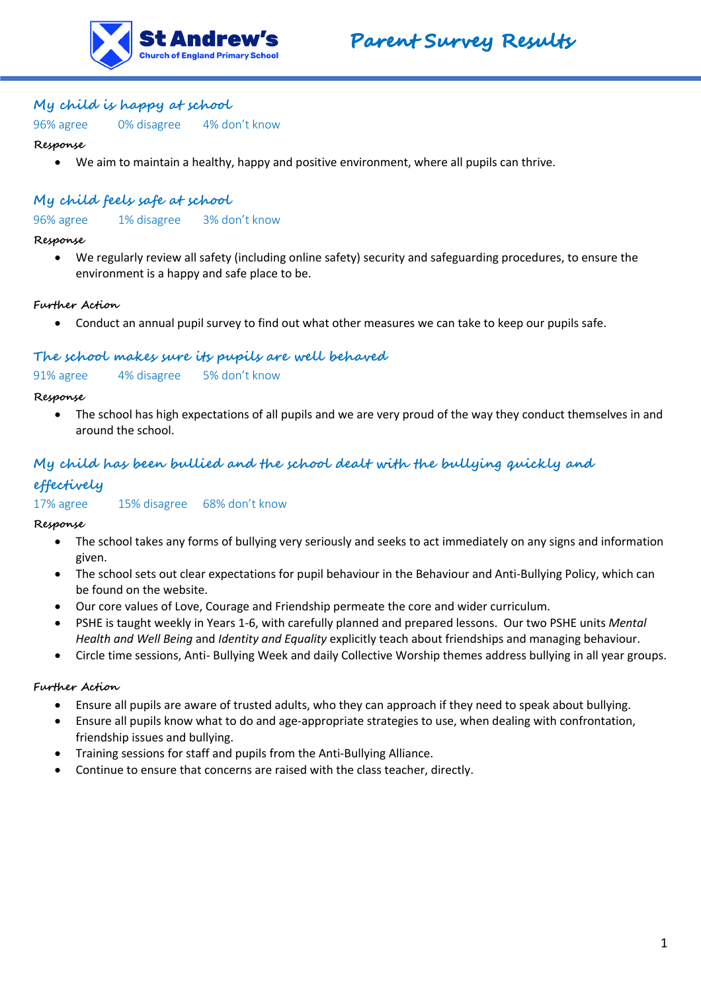



## **My child is happy at school**

96% agree 0% disagree 4% don't know

#### **Response**

• We aim to maintain a healthy, happy and positive environment, where all pupils can thrive.

## **My child feels safe at school**

96% agree 1% disagree 3% don't know

#### **Response**

• We regularly review all safety (including online safety) security and safeguarding procedures, to ensure the environment is a happy and safe place to be.

### **Further Action**

• Conduct an annual pupil survey to find out what other measures we can take to keep our pupils safe.

## **The school makes sure its pupils are well behaved**

91% agree 4% disagree 5% don't know

#### **Response**

• The school has high expectations of all pupils and we are very proud of the way they conduct themselves in and around the school.

# **My child has been bullied and the school dealt with the bullying quickly and effectively**

17% agree 15% disagree 68% don't know

### **Response**

- The school takes any forms of bullying very seriously and seeks to act immediately on any signs and information given.
- The school sets out clear expectations for pupil behaviour in the Behaviour and Anti-Bullying Policy, which can be found on the website.
- Our core values of Love, Courage and Friendship permeate the core and wider curriculum.
- PSHE is taught weekly in Years 1-6, with carefully planned and prepared lessons. Our two PSHE units *Mental Health and Well Being* and *Identity and Equality* explicitly teach about friendships and managing behaviour.
- Circle time sessions, Anti- Bullying Week and daily Collective Worship themes address bullying in all year groups.

### **Further Action**

- Ensure all pupils are aware of trusted adults, who they can approach if they need to speak about bullying.
- Ensure all pupils know what to do and age-appropriate strategies to use, when dealing with confrontation, friendship issues and bullying.
- Training sessions for staff and pupils from the Anti-Bullying Alliance.
- Continue to ensure that concerns are raised with the class teacher, directly.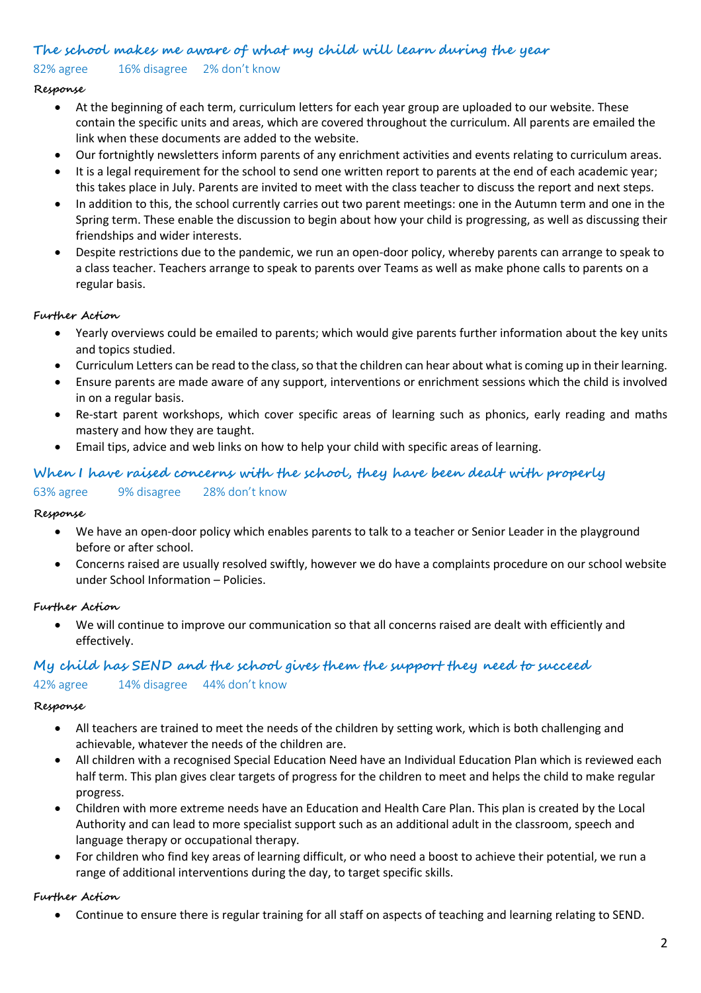## **The school makes me aware of what my child will learn during the year**

82% agree 16% disagree 2% don't know

## **Response**

- At the beginning of each term, curriculum letters for each year group are uploaded to our website. These contain the specific units and areas, which are covered throughout the curriculum. All parents are emailed the link when these documents are added to the website.
- Our fortnightly newsletters inform parents of any enrichment activities and events relating to curriculum areas.
- It is a legal requirement for the school to send one written report to parents at the end of each academic year; this takes place in July. Parents are invited to meet with the class teacher to discuss the report and next steps.
- In addition to this, the school currently carries out two parent meetings: one in the Autumn term and one in the Spring term. These enable the discussion to begin about how your child is progressing, as well as discussing their friendships and wider interests.
- Despite restrictions due to the pandemic, we run an open-door policy, whereby parents can arrange to speak to a class teacher. Teachers arrange to speak to parents over Teams as well as make phone calls to parents on a regular basis.

## **Further Action**

- Yearly overviews could be emailed to parents; which would give parents further information about the key units and topics studied.
- Curriculum Letters can be read to the class, so that the children can hear about what is coming up in their learning.
- Ensure parents are made aware of any support, interventions or enrichment sessions which the child is involved in on a regular basis.
- Re-start parent workshops, which cover specific areas of learning such as phonics, early reading and maths mastery and how they are taught.
- Email tips, advice and web links on how to help your child with specific areas of learning.

## **When I have raised concerns with the school, they have been dealt with properly**

## 63% agree 9% disagree 28% don't know

### **Response**

- We have an open-door policy which enables parents to talk to a teacher or Senior Leader in the playground before or after school.
- Concerns raised are usually resolved swiftly, however we do have a complaints procedure on our school website under School Information – Policies.

## **Further Action**

• We will continue to improve our communication so that all concerns raised are dealt with efficiently and effectively.

### **My child has SEND and the school gives them the support they need to succeed**

## 42% agree 14% disagree 44% don't know

### **Response**

- All teachers are trained to meet the needs of the children by setting work, which is both challenging and achievable, whatever the needs of the children are.
- All children with a recognised Special Education Need have an Individual Education Plan which is reviewed each half term. This plan gives clear targets of progress for the children to meet and helps the child to make regular progress.
- Children with more extreme needs have an Education and Health Care Plan. This plan is created by the Local Authority and can lead to more specialist support such as an additional adult in the classroom, speech and language therapy or occupational therapy.
- For children who find key areas of learning difficult, or who need a boost to achieve their potential, we run a range of additional interventions during the day, to target specific skills.

### **Further Action**

• Continue to ensure there is regular training for all staff on aspects of teaching and learning relating to SEND.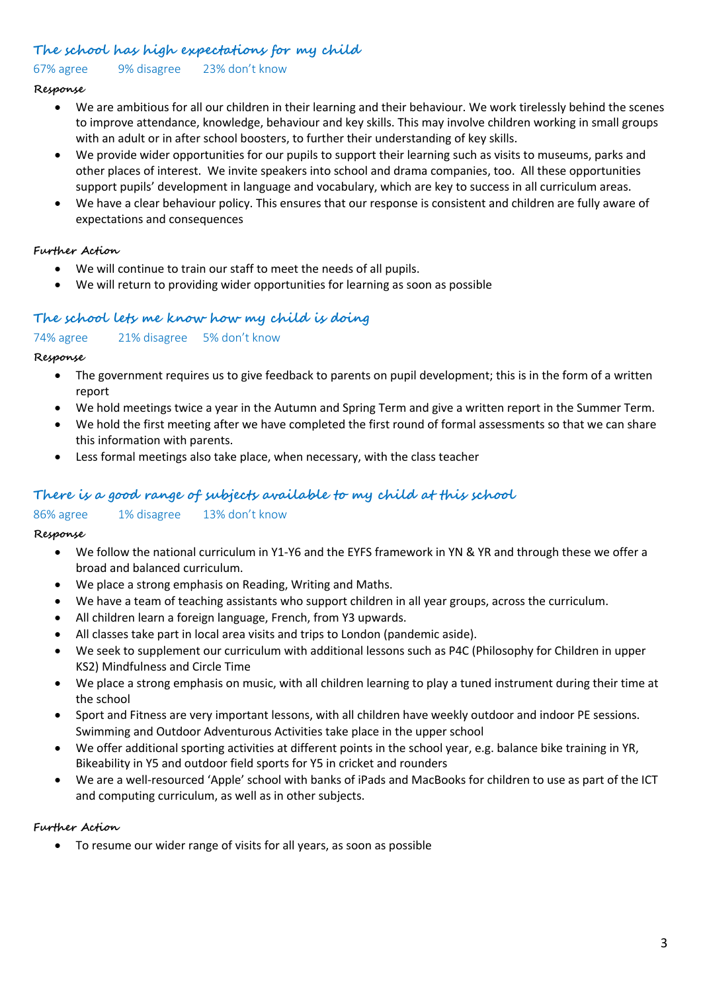## **The school has high expectations for my child**

67% agree 9% disagree 23% don't know

### **Response**

- We are ambitious for all our children in their learning and their behaviour. We work tirelessly behind the scenes to improve attendance, knowledge, behaviour and key skills. This may involve children working in small groups with an adult or in after school boosters, to further their understanding of key skills.
- We provide wider opportunities for our pupils to support their learning such as visits to museums, parks and other places of interest. We invite speakers into school and drama companies, too. All these opportunities support pupils' development in language and vocabulary, which are key to success in all curriculum areas.
- We have a clear behaviour policy. This ensures that our response is consistent and children are fully aware of expectations and consequences

## **Further Action**

- We will continue to train our staff to meet the needs of all pupils.
- We will return to providing wider opportunities for learning as soon as possible

## **The school lets me know how my child is doing**

### 74% agree 21% disagree 5% don't know

### **Response**

- The government requires us to give feedback to parents on pupil development; this is in the form of a written report
- We hold meetings twice a year in the Autumn and Spring Term and give a written report in the Summer Term.
- We hold the first meeting after we have completed the first round of formal assessments so that we can share this information with parents.
- Less formal meetings also take place, when necessary, with the class teacher

## **There is a good range of subjects available to my child at this school**

## 86% agree 1% disagree 13% don't know

### **Response**

- We follow the national curriculum in Y1-Y6 and the EYFS framework in YN & YR and through these we offer a broad and balanced curriculum.
- We place a strong emphasis on Reading, Writing and Maths.
- We have a team of teaching assistants who support children in all year groups, across the curriculum.
- All children learn a foreign language, French, from Y3 upwards.
- All classes take part in local area visits and trips to London (pandemic aside).
- We seek to supplement our curriculum with additional lessons such as P4C (Philosophy for Children in upper KS2) Mindfulness and Circle Time
- We place a strong emphasis on music, with all children learning to play a tuned instrument during their time at the school
- Sport and Fitness are very important lessons, with all children have weekly outdoor and indoor PE sessions. Swimming and Outdoor Adventurous Activities take place in the upper school
- We offer additional sporting activities at different points in the school year, e.g. balance bike training in YR, Bikeability in Y5 and outdoor field sports for Y5 in cricket and rounders
- We are a well-resourced 'Apple' school with banks of iPads and MacBooks for children to use as part of the ICT and computing curriculum, as well as in other subjects.

### **Further Action**

• To resume our wider range of visits for all years, as soon as possible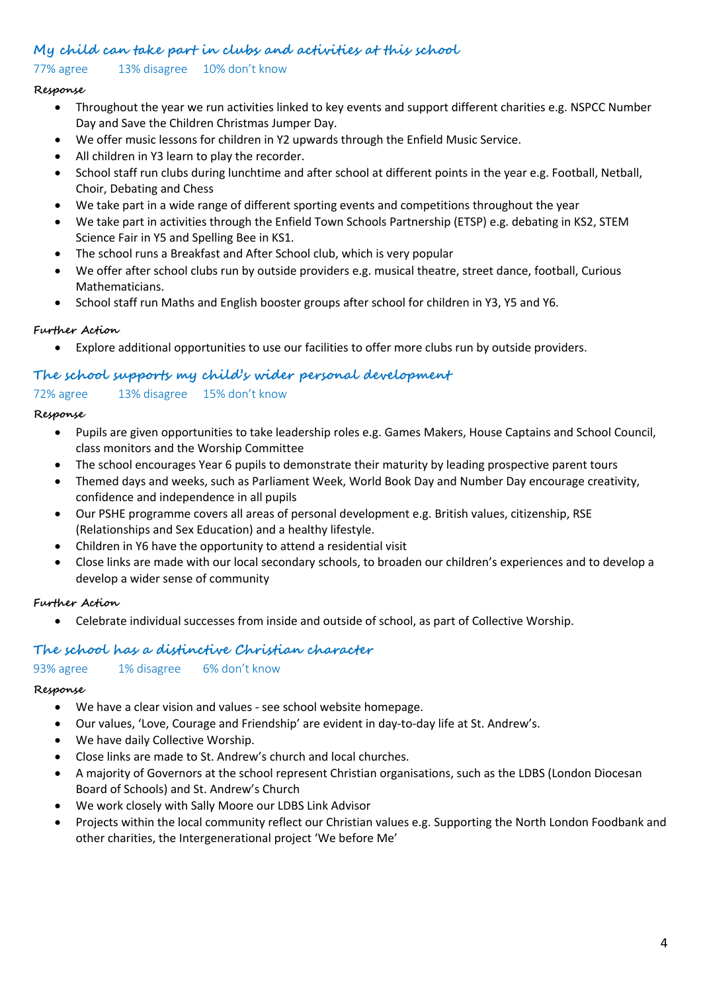## **My child can take part in clubs and activities at this school**

## 77% agree 13% disagree 10% don't know

### **Response**

- Throughout the year we run activities linked to key events and support different charities e.g. NSPCC Number Day and Save the Children Christmas Jumper Day.
- We offer music lessons for children in Y2 upwards through the Enfield Music Service.
- All children in Y3 learn to play the recorder.
- School staff run clubs during lunchtime and after school at different points in the year e.g. Football, Netball, Choir, Debating and Chess
- We take part in a wide range of different sporting events and competitions throughout the year
- We take part in activities through the Enfield Town Schools Partnership (ETSP) e.g. debating in KS2, STEM Science Fair in Y5 and Spelling Bee in KS1.
- The school runs a Breakfast and After School club, which is very popular
- We offer after school clubs run by outside providers e.g. musical theatre, street dance, football, Curious Mathematicians.
- School staff run Maths and English booster groups after school for children in Y3, Y5 and Y6.

## **Further Action**

• Explore additional opportunities to use our facilities to offer more clubs run by outside providers.

## **The school supports my child's wider personal development**

## 72% agree 13% disagree 15% don't know

### **Response**

- Pupils are given opportunities to take leadership roles e.g. Games Makers, House Captains and School Council, class monitors and the Worship Committee
- The school encourages Year 6 pupils to demonstrate their maturity by leading prospective parent tours
- Themed days and weeks, such as Parliament Week, World Book Day and Number Day encourage creativity, confidence and independence in all pupils
- Our PSHE programme covers all areas of personal development e.g. British values, citizenship, RSE (Relationships and Sex Education) and a healthy lifestyle.
- Children in Y6 have the opportunity to attend a residential visit
- Close links are made with our local secondary schools, to broaden our children's experiences and to develop a develop a wider sense of community

### **Further Action**

• Celebrate individual successes from inside and outside of school, as part of Collective Worship.

## **The school has a distinctive Christian character**

### 93% agree 1% disagree 6% don't know

### **Response**

- We have a clear vision and values see school website homepage.
- Our values, 'Love, Courage and Friendship' are evident in day-to-day life at St. Andrew's.
- We have daily Collective Worship.
- Close links are made to St. Andrew's church and local churches.
- A majority of Governors at the school represent Christian organisations, such as the LDBS (London Diocesan Board of Schools) and St. Andrew's Church
- We work closely with Sally Moore our LDBS Link Advisor
- Projects within the local community reflect our Christian values e.g. Supporting the North London Foodbank and other charities, the Intergenerational project 'We before Me'